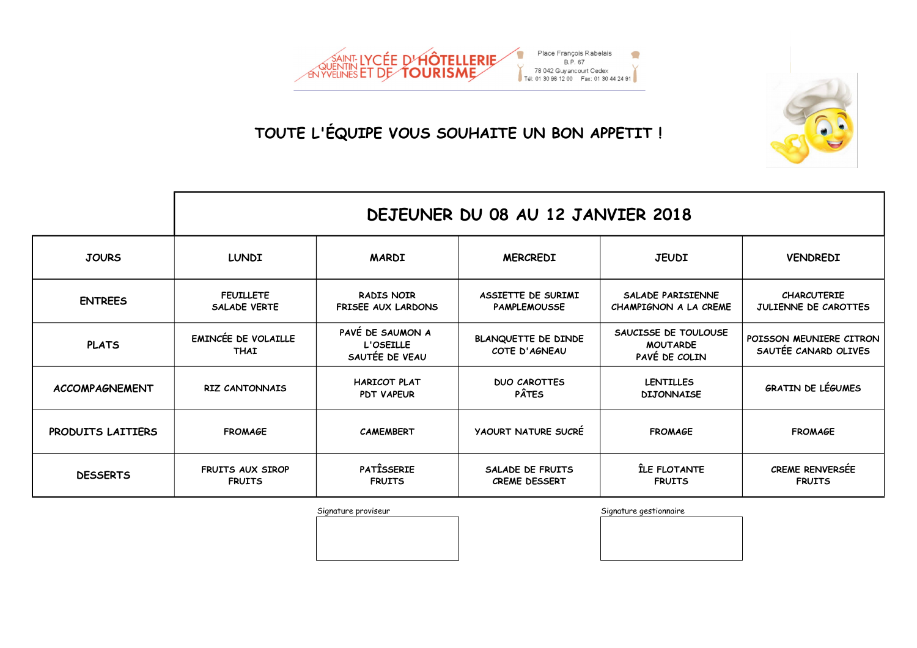

|                       | DEJEUNER DU 08 AU 12 JANVIER 2018         |                                                 |                                           |                                                          |                                                 |  |
|-----------------------|-------------------------------------------|-------------------------------------------------|-------------------------------------------|----------------------------------------------------------|-------------------------------------------------|--|
| <b>JOURS</b>          | <b>LUNDI</b>                              | <b>MARDI</b>                                    | <b>MERCREDI</b>                           | <b>JEUDI</b>                                             | <b>VENDREDI</b>                                 |  |
| <b>ENTREES</b>        | <b>FEUILLETE</b><br><b>SALADE VERTE</b>   | <b>RADIS NOIR</b><br><b>FRISEE AUX LARDONS</b>  | ASSIETTE DE SURIMI<br><b>PAMPLEMOUSSE</b> | SALADE PARISIENNE<br>CHAMPIGNON A LA CREME               | <b>CHARCUTERIE</b><br>JULIENNE DE CAROTTES      |  |
| <b>PLATS</b>          | <b>EMINCÉE DE VOLAILLE</b><br><b>THAI</b> | PAVÉ DE SAUMON A<br>L'OSEILLE<br>SAUTÉE DE VEAU | BLANQUETTE DE DINDE<br>COTE D'AGNEAU      | SAUCISSE DE TOULOUSE<br><b>MOUTARDE</b><br>PAVE DE COLIN | POISSON MEUNIERE CITRON<br>SAUTÉE CANARD OLIVES |  |
| <b>ACCOMPAGNEMENT</b> | <b>RIZ CANTONNAIS</b>                     | <b>HARICOT PLAT</b><br><b>PDT VAPEUR</b>        | <b>DUO CAROTTES</b><br><b>PÂTES</b>       | <b>LENTILLES</b><br><b>DIJONNAISE</b>                    | <b>GRATIN DE LÉGUMES</b>                        |  |
| PRODUITS LAITIERS     | <b>FROMAGE</b>                            | <b>CAMEMBERT</b>                                | <b>YAOURT NATURE SUCRE</b>                | <b>FROMAGE</b>                                           | <b>FROMAGE</b>                                  |  |
| <b>DESSERTS</b>       | <b>FRUITS AUX SIROP</b><br><b>FRUITS</b>  | <b>PATISSERIE</b><br><b>FRUITS</b>              | SALADE DE FRUITS<br><b>CREME DESSERT</b>  | ÎLE FLOTANTE<br><b>FRUITS</b>                            | <b>CREME RENVERSÉE</b><br><b>FRUITS</b>         |  |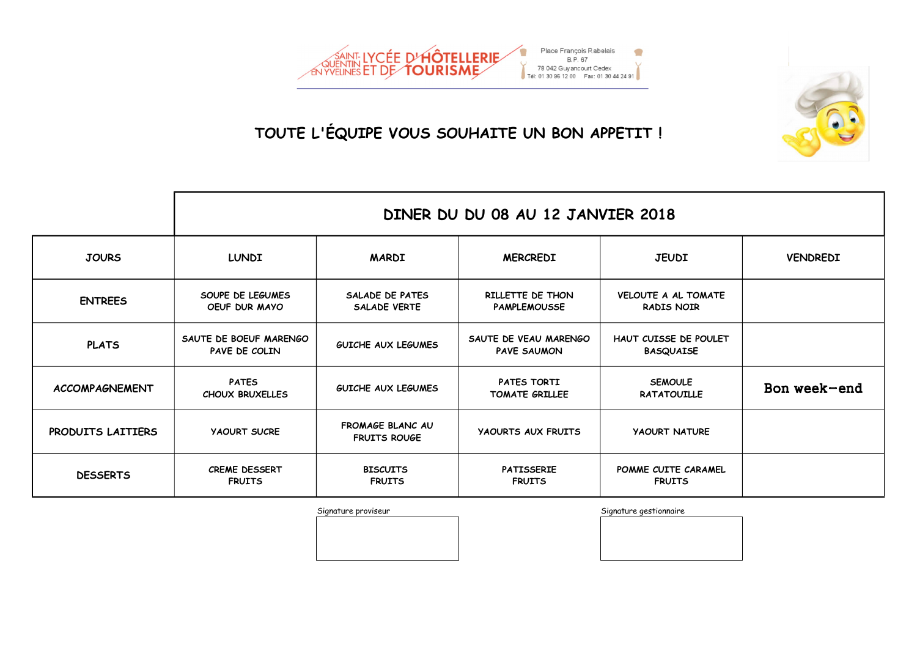

|                       | DINER DU DU 08 AU 12 JANVIER 2018       |                                         |                                             |                                                 |                 |  |  |
|-----------------------|-----------------------------------------|-----------------------------------------|---------------------------------------------|-------------------------------------------------|-----------------|--|--|
| <b>JOURS</b>          | <b>LUNDI</b>                            | <b>MARDI</b>                            | <b>MERCREDI</b>                             | <b>JEUDI</b>                                    | <b>VENDREDI</b> |  |  |
| <b>ENTREES</b>        | SOUPE DE LEGUMES<br>OEUF DUR MAYO       | SALADE DE PATES<br><b>SALADE VERTE</b>  | RILLETTE DE THON<br><b>PAMPLEMOUSSE</b>     | <b>VELOUTE A AL TOMATE</b><br><b>RADIS NOIR</b> |                 |  |  |
| <b>PLATS</b>          | SAUTE DE BOEUF MARENGO<br>PAVE DE COLIN | GUICHE AUX LEGUMES                      | SAUTE DE VEAU MARENGO<br><b>PAVE SAUMON</b> | HAUT CUISSE DE POULET<br><b>BASQUAISE</b>       |                 |  |  |
| <b>ACCOMPAGNEMENT</b> | <b>PATES</b><br><b>CHOUX BRUXELLES</b>  | <b>GUICHE AUX LEGUMES</b>               | PATES TORTI<br>TOMATE GRILLEE               | <b>SEMOULE</b><br><b>RATATOUILLE</b>            | Bon week-end    |  |  |
| PRODUITS LAITIERS     | <b>YAOURT SUCRE</b>                     | FROMAGE BLANC AU<br><b>FRUITS ROUGE</b> | <b>YAOURTS AUX FRUITS</b>                   | <b>YAOURT NATURE</b>                            |                 |  |  |
| <b>DESSERTS</b>       | <b>CREME DESSERT</b><br><b>FRUITS</b>   | <b>BISCUITS</b><br><b>FRUITS</b>        | <b>PATISSERIE</b><br><b>FRUITS</b>          | POMME CUITE CARAMEL<br><b>FRUITS</b>            |                 |  |  |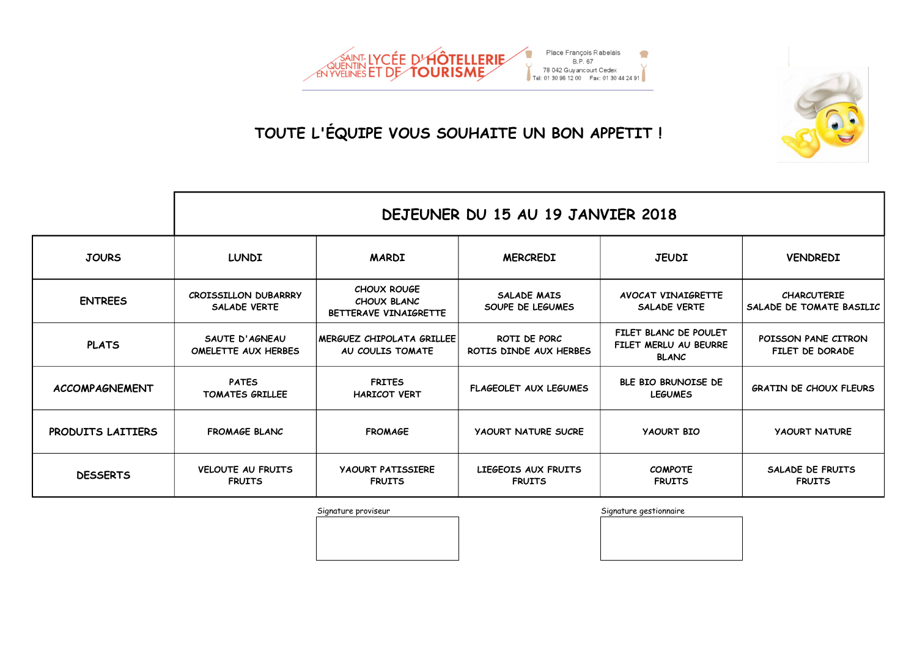

|                       | DEJEUNER DU 15 AU 19 JANVIER 2018                  |                                                            |                                        |                                                                |                                                |  |
|-----------------------|----------------------------------------------------|------------------------------------------------------------|----------------------------------------|----------------------------------------------------------------|------------------------------------------------|--|
| <b>JOURS</b>          | <b>LUNDI</b>                                       | <b>MARDI</b>                                               | <b>MERCREDI</b>                        | <b>JEUDI</b>                                                   | <b>VENDREDI</b>                                |  |
| <b>ENTREES</b>        | <b>CROISSILLON DUBARRRY</b><br><b>SALADE VERTE</b> | <b>CHOUX ROUGE</b><br>CHOUX BLANC<br>BETTERAVE VINAIGRETTE | SALADE MAIS<br>SOUPE DE LEGUMES        | <b>AVOCAT VINAIGRETTE</b><br><b>SALADE VERTE</b>               | <b>CHARCUTERIE</b><br>SALADE DE TOMATE BASILIC |  |
| <b>PLATS</b>          | SAUTE D'AGNEAU<br>OMELETTE AUX HERBES              | <b>IMERGUEZ CHIPOLATA GRILLEE</b><br>AU COULIS TOMATE      | ROTI DE PORC<br>ROTIS DINDE AUX HERBES | FILET BLANC DE POULET<br>FILET MERLU AU BEURRE<br><b>BLANC</b> | POISSON PANE CITRON<br>FILET DE DORADE         |  |
| <b>ACCOMPAGNEMENT</b> | <b>PATES</b><br><b>TOMATES GRILLEE</b>             | <b>FRITES</b><br><b>HARICOT VERT</b>                       | <b>FLAGEOLET AUX LEGUMES</b>           | BLE BIO BRUNOISE DE<br><b>LEGUMES</b>                          | <b>GRATIN DE CHOUX FLEURS</b>                  |  |
| PRODUITS LAITIERS     | <b>FROMAGE BLANC</b>                               | <b>FROMAGE</b>                                             | <b>YAOURT NATURE SUCRE</b>             | <b>YAOURT BIO</b>                                              | <b>YAOURT NATURE</b>                           |  |
| <b>DESSERTS</b>       | <b>VELOUTE AU FRUITS</b><br><b>FRUITS</b>          | <b>YAOURT PATISSIERE</b><br><b>FRUITS</b>                  | LIEGEOIS AUX FRUITS<br><b>FRUITS</b>   | <b>COMPOTE</b><br><b>FRUITS</b>                                | SALADE DE FRUITS<br><b>FRUITS</b>              |  |

Signature proviseur contraction and the Signature gestionnaire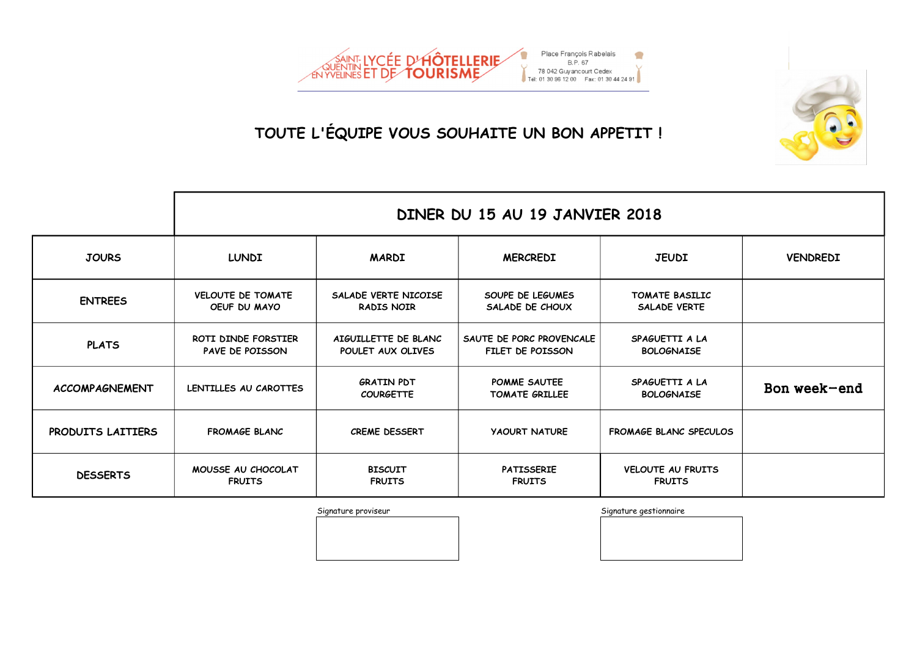

|                       | DINER DU 15 AU 19 JANVIER 2018           |                                           |                                              |                                           |                 |  |  |
|-----------------------|------------------------------------------|-------------------------------------------|----------------------------------------------|-------------------------------------------|-----------------|--|--|
| <b>JOURS</b>          | <b>LUNDI</b>                             | <b>MARDI</b>                              | <b>MERCREDI</b>                              | <b>JEUDI</b>                              | <b>VENDREDI</b> |  |  |
| <b>ENTREES</b>        | <b>VELOUTE DE TOMATE</b><br>OEUF DU MAYO | SALADE VERTE NICOISE<br><b>RADIS NOIR</b> | SOUPE DE LEGUMES<br>SALADE DE CHOUX          | TOMATE BASILIC<br><b>SALADE VERTE</b>     |                 |  |  |
| <b>PLATS</b>          | ROTI DINDE FORSTIER<br>PAVE DE POISSON   | AIGUILLETTE DE BLANC<br>POULET AUX OLIVES | SAUTE DE PORC PROVENCALE<br>FILET DE POISSON | SPAGUETTI A LA<br><b>BOLOGNAISE</b>       |                 |  |  |
| <b>ACCOMPAGNEMENT</b> | LENTILLES AU CAROTTES                    | <b>GRATIN PDT</b><br><b>COURGETTE</b>     | POMME SAUTEE<br><b>TOMATE GRILLEE</b>        | SPAGUETTI A LA<br><b>BOLOGNAISE</b>       | Bon week-end    |  |  |
| PRODUITS LAITIERS     | <b>FROMAGE BLANC</b>                     | <b>CREME DESSERT</b>                      | <b>YAOURT NATURE</b>                         | <b>FROMAGE BLANC SPECULOS</b>             |                 |  |  |
| <b>DESSERTS</b>       | MOUSSE AU CHOCOLAT<br><b>FRUITS</b>      | <b>BISCUIT</b><br><b>FRUITS</b>           | <b>PATISSERIE</b><br><b>FRUITS</b>           | <b>VELOUTE AU FRUITS</b><br><b>FRUITS</b> |                 |  |  |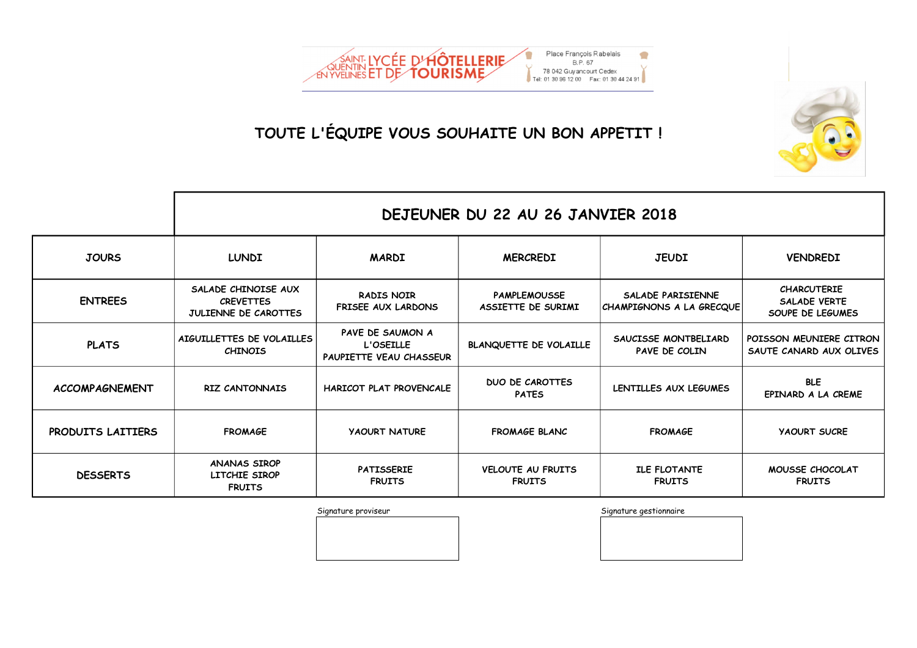

|                       | DEJEUNER DU 22 AU 26 JANVIER 2018                               |                                                          |                                           |                                               |                                                               |  |
|-----------------------|-----------------------------------------------------------------|----------------------------------------------------------|-------------------------------------------|-----------------------------------------------|---------------------------------------------------------------|--|
| <b>JOURS</b>          | <b>LUNDI</b>                                                    | <b>MARDI</b>                                             | <b>MERCREDI</b>                           | <b>JEUDI</b>                                  | <b>VENDREDI</b>                                               |  |
| <b>ENTREES</b>        | SALADE CHINOISE AUX<br><b>CREVETTES</b><br>JULIENNE DE CAROTTES | <b>RADIS NOIR</b><br><b>FRISEE AUX LARDONS</b>           | <b>PAMPLEMOUSSE</b><br>ASSIETTE DE SURIMI | SALADE PARISIENNE<br>CHAMPIGNONS A LA GRECQUE | <b>CHARCUTERIE</b><br><b>SALADE VERTE</b><br>SOUPE DE LEGUMES |  |
| <b>PLATS</b>          | AIGUILLETTES DE VOLAILLES<br><b>CHINOIS</b>                     | PAVE DE SAUMON A<br>L'OSEILLE<br>PAUPIETTE VEAU CHASSEUR | <b>BLANQUETTE DE VOLAILLE</b>             | SAUCISSE MONTBELIARD<br>PAVE DE COLIN         | POISSON MEUNIERE CITRON<br>SAUTE CANARD AUX OLIVES            |  |
| <b>ACCOMPAGNEMENT</b> | <b>RIZ CANTONNAIS</b>                                           | <b>HARICOT PLAT PROVENCALE</b>                           | <b>DUO DE CAROTTES</b><br><b>PATES</b>    | LENTILLES AUX LEGUMES                         | <b>BLE</b><br>EPINARD A LA CREME                              |  |
| PRODUITS LAITIERS     | <b>FROMAGE</b>                                                  | <b>YAOURT NATURE</b>                                     | <b>FROMAGE BLANC</b>                      | <b>FROMAGE</b>                                | <b>YAOURT SUCRE</b>                                           |  |
| <b>DESSERTS</b>       | <b>ANANAS SIROP</b><br>LITCHIE SIROP<br><b>FRUITS</b>           | <b>PATISSERIE</b><br><b>FRUITS</b>                       | <b>VELOUTE AU FRUITS</b><br><b>FRUITS</b> | <b>ILE FLOTANTE</b><br><b>FRUITS</b>          | MOUSSE CHOCOLAT<br><b>FRUITS</b>                              |  |

Signature proviseur contraction and the Signature gestionnaire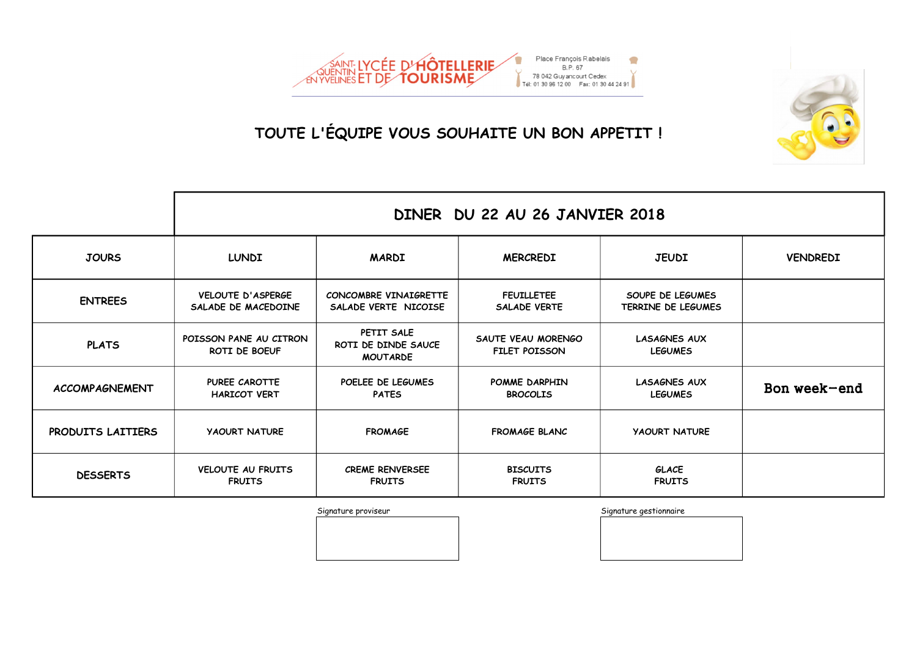

|                       | DINER DU 22 AU 26 JANVIER 2018              |                                                      |                                            |                                        |                 |  |
|-----------------------|---------------------------------------------|------------------------------------------------------|--------------------------------------------|----------------------------------------|-----------------|--|
| <b>JOURS</b>          | <b>LUNDI</b>                                | <b>MARDI</b>                                         | <b>MERCREDI</b>                            | <b>JEUDI</b>                           | <b>VENDREDI</b> |  |
| <b>ENTREES</b>        | VELOUTE D'ASPERGE<br>SALADE DE MACEDOINE    | CONCOMBRE VINAIGRETTE<br>SALADE VERTE NICOISE        | <b>FEUILLETEE</b><br><b>SALADE VERTE</b>   | SOUPE DE LEGUMES<br>TERRINE DE LEGUMES |                 |  |
| <b>PLATS</b>          | POISSON PANE AU CITRON<br>ROTI DE BOEUF     | PETIT SALE<br>ROTI DE DINDE SAUCE<br><b>MOUTARDE</b> | SAUTE VEAU MORENGO<br><b>FILET POISSON</b> | <b>LASAGNES AUX</b><br><b>LEGUMES</b>  |                 |  |
| <b>ACCOMPAGNEMENT</b> | <b>PUREE CAROTTE</b><br><b>HARICOT VERT</b> | POELEE DE LEGUMES<br><b>PATES</b>                    | POMME DARPHIN<br><b>BROCOLIS</b>           | <b>LASAGNES AUX</b><br><b>LEGUMES</b>  | Bon week-end    |  |
| PRODUITS LAITIERS     | <b>YAOURT NATURE</b>                        | <b>FROMAGE</b>                                       | <b>FROMAGE BLANC</b>                       | <b>YAOURT NATURE</b>                   |                 |  |
| <b>DESSERTS</b>       | VELOUTE AU FRUITS<br><b>FRUITS</b>          | <b>CREME RENVERSEE</b><br><b>FRUITS</b>              | <b>BISCUITS</b><br><b>FRUITS</b>           | GLACE<br><b>FRUITS</b>                 |                 |  |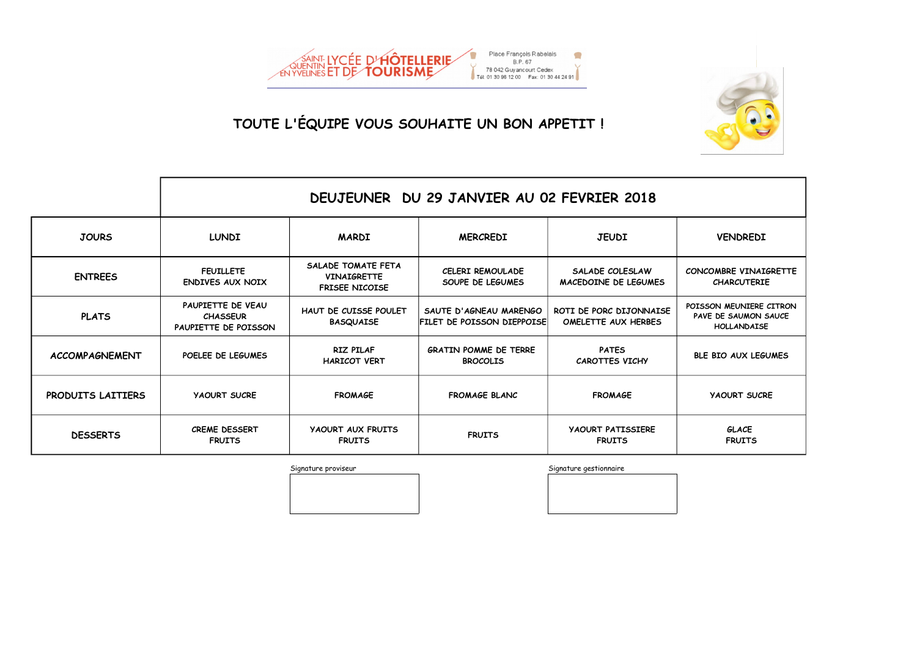



|                       | DEUJEUNER DU 29 JANVIER AU 02 FEVRIER 2018                   |                                                                   |                                                             |                                                |                                                                       |  |
|-----------------------|--------------------------------------------------------------|-------------------------------------------------------------------|-------------------------------------------------------------|------------------------------------------------|-----------------------------------------------------------------------|--|
| <b>JOURS</b>          | <b>LUNDI</b>                                                 | <b>MARDI</b>                                                      | <b>MERCREDI</b>                                             | <b>JEUDI</b>                                   | <b>VENDREDI</b>                                                       |  |
| <b>ENTREES</b>        | <b>FEUILLETE</b><br><b>ENDIVES AUX NOIX</b>                  | SALADE TOMATE FETA<br><b>VINAIGRETTE</b><br><b>FRISEE NICOISE</b> | <b>CELERI REMOULADE</b><br>SOUPE DE LEGUMES                 | SALADE COLESLAW<br>MACEDOINE DE LEGUMES        | CONCOMBRE VINAIGRETTE<br><b>CHARCUTERIE</b>                           |  |
| <b>PLATS</b>          | PAUPIETTE DE VEAU<br><b>CHASSEUR</b><br>PAUPIETTE DE POISSON | HAUT DE CUISSE POULET<br><b>BASQUAISE</b>                         | SAUTE D'AGNEAU MARENGO<br><b>FILET DE POISSON DIEPPOISE</b> | ROTI DE PORC DIJONNAISE<br>OMELETTE AUX HERBES | POISSON MEUNIERE CITRON<br>PAVE DE SAUMON SAUCE<br><b>HOLLANDAISE</b> |  |
| <b>ACCOMPAGNEMENT</b> | POELEE DE LEGUMES                                            | <b>RIZ PILAF</b><br><b>HARICOT VERT</b>                           | <b>GRATIN POMME DE TERRE</b><br><b>BROCOLIS</b>             | <b>PATES</b><br><b>CAROTTES VICHY</b>          | <b>BLE BIO AUX LEGUMES</b>                                            |  |
| PRODUITS LAITIERS     | <b>YAOURT SUCRE</b>                                          | <b>FROMAGE</b>                                                    | <b>FROMAGE BLANC</b>                                        | <b>FROMAGE</b>                                 | <b>YAOURT SUCRE</b>                                                   |  |
| <b>DESSERTS</b>       | <b>CREME DESSERT</b><br><b>FRUITS</b>                        | <b>YAOURT AUX FRUITS</b><br><b>FRUITS</b>                         | <b>FRUITS</b>                                               | <b>YAOURT PATISSIERE</b><br><b>FRUITS</b>      | <b>GLACE</b><br><b>FRUITS</b>                                         |  |